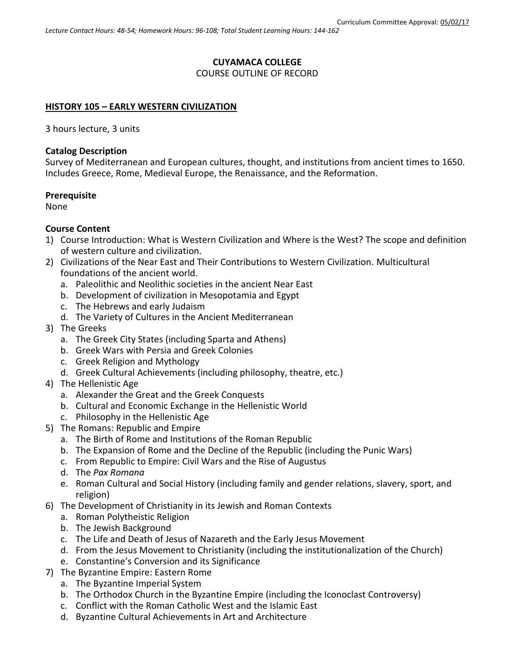## **CUYAMACA COLLEGE**

### COURSE OUTLINE OF RECORD

### **HISTORY 105 – EARLY WESTERN CIVILIZATION**

3 hours lecture, 3 units

### **Catalog Description**

Survey of Mediterranean and European cultures, thought, and institutions from ancient times to 1650. Includes Greece, Rome, Medieval Europe, the Renaissance, and the Reformation.

### **Prerequisite**

None

### **Course Content**

- 1) Course Introduction: What is Western Civilization and Where is the West? The scope and definition of western culture and civilization.
- 2) Civilizations of the Near East and Their Contributions to Western Civilization. Multicultural foundations of the ancient world.
	- a. Paleolithic and Neolithic societies in the ancient Near East
	- b. Development of civilization in Mesopotamia and Egypt
	- c. The Hebrews and early Judaism
	- d. The Variety of Cultures in the Ancient Mediterranean
- 3) The Greeks
	- a. The Greek City States (including Sparta and Athens)
	- b. Greek Wars with Persia and Greek Colonies
	- c. Greek Religion and Mythology
	- d. Greek Cultural Achievements (including philosophy, theatre, etc.)
- 4) The Hellenistic Age
	- a. Alexander the Great and the Greek Conquests
	- b. Cultural and Economic Exchange in the Hellenistic World
	- c. Philosophy in the Hellenistic Age
- 5) The Romans: Republic and Empire
	- a. The Birth of Rome and Institutions of the Roman Republic
	- b. The Expansion of Rome and the Decline of the Republic (including the Punic Wars)
	- c. From Republic to Empire: Civil Wars and the Rise of Augustus
	- d. The *Pax Romana*
	- e. Roman Cultural and Social History (including family and gender relations, slavery, sport, and religion)
- 6) The Development of Christianity in its Jewish and Roman Contexts
	- a. Roman Polytheistic Religion
	- b. The Jewish Background
	- c. The Life and Death of Jesus of Nazareth and the Early Jesus Movement
	- d. From the Jesus Movement to Christianity (including the institutionalization of the Church)
	- e. Constantine's Conversion and its Significance
- 7) The Byzantine Empire: Eastern Rome
	- a. The Byzantine Imperial System
	- b. The Orthodox Church in the Byzantine Empire (including the Iconoclast Controversy)
	- c. Conflict with the Roman Catholic West and the Islamic East
	- d. Byzantine Cultural Achievements in Art and Architecture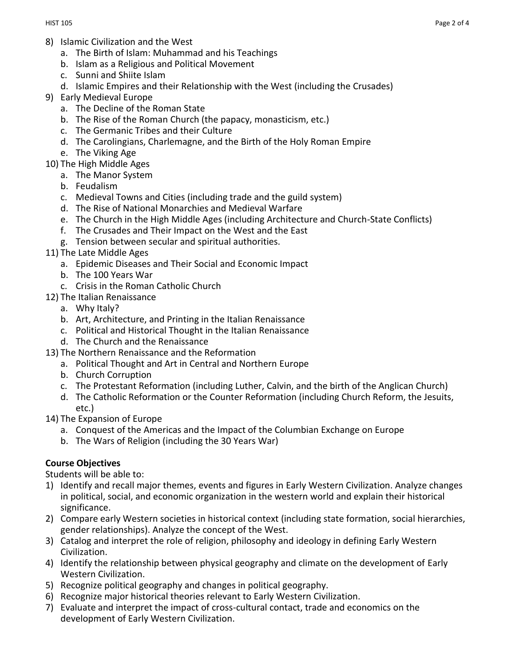- 8) Islamic Civilization and the West
	- a. The Birth of Islam: Muhammad and his Teachings
	- b. Islam as a Religious and Political Movement
	- c. Sunni and Shiite Islam
	- d. Islamic Empires and their Relationship with the West (including the Crusades)
- 9) Early Medieval Europe
	- a. The Decline of the Roman State
	- b. The Rise of the Roman Church (the papacy, monasticism, etc.)
	- c. The Germanic Tribes and their Culture
	- d. The Carolingians, Charlemagne, and the Birth of the Holy Roman Empire
	- e. The Viking Age
- 10) The High Middle Ages
	- a. The Manor System
	- b. Feudalism
	- c. Medieval Towns and Cities (including trade and the guild system)
	- d. The Rise of National Monarchies and Medieval Warfare
	- e. The Church in the High Middle Ages (including Architecture and Church-State Conflicts)
	- f. The Crusades and Their Impact on the West and the East
	- g. Tension between secular and spiritual authorities.
- 11) The Late Middle Ages
	- a. Epidemic Diseases and Their Social and Economic Impact
	- b. The 100 Years War
	- c. Crisis in the Roman Catholic Church
- 12) The Italian Renaissance
	- a. Why Italy?
	- b. Art, Architecture, and Printing in the Italian Renaissance
	- c. Political and Historical Thought in the Italian Renaissance
	- d. The Church and the Renaissance
- 13) The Northern Renaissance and the Reformation
	- a. Political Thought and Art in Central and Northern Europe
	- b. Church Corruption
	- c. The Protestant Reformation (including Luther, Calvin, and the birth of the Anglican Church)
	- d. The Catholic Reformation or the Counter Reformation (including Church Reform, the Jesuits, etc.)
- 14) The Expansion of Europe
	- a. Conquest of the Americas and the Impact of the Columbian Exchange on Europe
	- b. The Wars of Religion (including the 30 Years War)

## **Course Objectives**

Students will be able to:

- 1) Identify and recall major themes, events and figures in Early Western Civilization. Analyze changes in political, social, and economic organization in the western world and explain their historical significance.
- 2) Compare early Western societies in historical context (including state formation, social hierarchies, gender relationships). Analyze the concept of the West.
- 3) Catalog and interpret the role of religion, philosophy and ideology in defining Early Western Civilization.
- 4) Identify the relationship between physical geography and climate on the development of Early Western Civilization.
- 5) Recognize political geography and changes in political geography.
- 6) Recognize major historical theories relevant to Early Western Civilization.
- 7) Evaluate and interpret the impact of cross-cultural contact, trade and economics on the development of Early Western Civilization.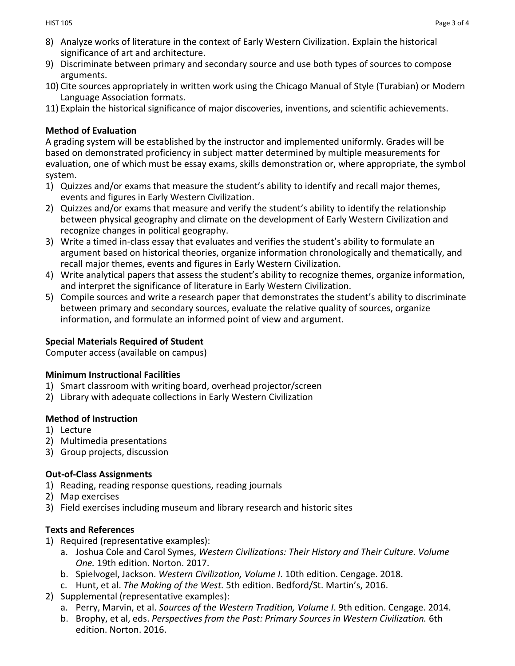- 8) Analyze works of literature in the context of Early Western Civilization. Explain the historical significance of art and architecture.
- 9) Discriminate between primary and secondary source and use both types of sources to compose arguments.
- 10) Cite sources appropriately in written work using the Chicago Manual of Style (Turabian) or Modern Language Association formats.
- 11) Explain the historical significance of major discoveries, inventions, and scientific achievements.

## **Method of Evaluation**

A grading system will be established by the instructor and implemented uniformly. Grades will be based on demonstrated proficiency in subject matter determined by multiple measurements for evaluation, one of which must be essay exams, skills demonstration or, where appropriate, the symbol system.

- 1) Quizzes and/or exams that measure the student's ability to identify and recall major themes, events and figures in Early Western Civilization.
- 2) Quizzes and/or exams that measure and verify the student's ability to identify the relationship between physical geography and climate on the development of Early Western Civilization and recognize changes in political geography.
- 3) Write a timed in-class essay that evaluates and verifies the student's ability to formulate an argument based on historical theories, organize information chronologically and thematically, and recall major themes, events and figures in Early Western Civilization.
- 4) Write analytical papers that assess the student's ability to recognize themes, organize information, and interpret the significance of literature in Early Western Civilization.
- 5) Compile sources and write a research paper that demonstrates the student's ability to discriminate between primary and secondary sources, evaluate the relative quality of sources, organize information, and formulate an informed point of view and argument.

# **Special Materials Required of Student**

Computer access (available on campus)

## **Minimum Instructional Facilities**

- 1) Smart classroom with writing board, overhead projector/screen
- 2) Library with adequate collections in Early Western Civilization

# **Method of Instruction**

- 1) Lecture
- 2) Multimedia presentations
- 3) Group projects, discussion

# **Out-of-Class Assignments**

- 1) Reading, reading response questions, reading journals
- 2) Map exercises
- 3) Field exercises including museum and library research and historic sites

# **Texts and References**

- 1) Required (representative examples):
	- a. Joshua Cole and Carol Symes, *Western Civilizations: Their History and Their Culture. Volume One.* 19th edition. Norton. 2017.
	- b. Spielvogel, Jackson. *Western Civilization, Volume I*. 10th edition. Cengage. 2018.
	- c. Hunt, et al. *The Making of the West.* 5th edition. Bedford/St. Martin's, 2016.
- 2) Supplemental (representative examples):
	- a. Perry, Marvin, et al. *Sources of the Western Tradition, Volume I*. 9th edition. Cengage. 2014.
	- b. Brophy, et al, eds. *Perspectives from the Past: Primary Sources in Western Civilization.* 6th edition. Norton. 2016.